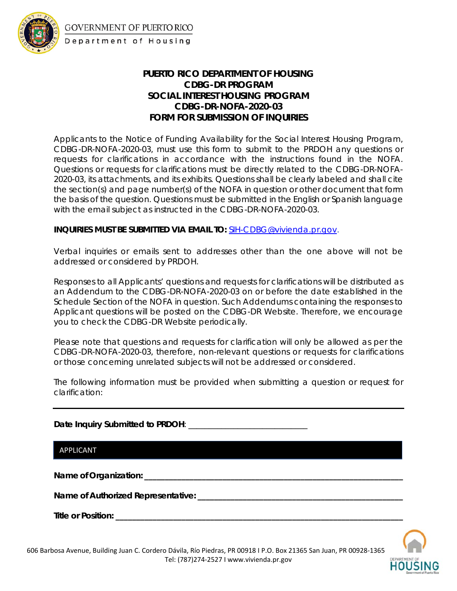

## **PUERTO RICO DEPARTMENT OF HOUSING CDBG-DR PROGRAM SOCIAL INTEREST HOUSING PROGRAM CDBG-DR-NOFA-2020-03 FORM FOR SUBMISSION OF INQUIRIES**

Applicants to the Notice of Funding Availability for the Social Interest Housing Program, CDBG-DR-NOFA-2020-03, must use this form to submit to the PRDOH any questions or requests for clarifications in accordance with the instructions found in the NOFA. Questions or requests for clarifications must be directly related to the CDBG-DR-NOFA-2020-03, its attachments, and its exhibits. Questions shall be clearly labeled and shall cite the section(s) and page number(s) of the NOFA in question or other document that form the basis of the question. Questions must be submitted in the English or Spanish language with the email subject as instructed in the CDBG-DR-NOFA-2020-03.

## **INQUIRIES MUST BE SUBMITTED VIA EMAIL TO:** [SIH-CDBG@vivienda.pr.gov.](mailto:SIH-CDBG@vivienda.pr.gov)

Verbal inquiries or emails sent to addresses other than the one above will not be addressed or considered by PRDOH.

Responses to all Applicants' questions and requests for clarifications will be distributed as an Addendum to the CDBG-DR-NOFA-2020-03 on or before the date established in the Schedule Section of the NOFA in question. Such Addendums containing the responses to Applicant questions will be posted on the CDBG-DR Website. Therefore, we encourage you to check the CDBG-DR Website periodically.

Please note that questions and requests for clarification will only be allowed as per the CDBG-DR-NOFA-2020-03, therefore, non-relevant questions or requests for clarifications or those concerning unrelated subjects will not be addressed or considered.

The following information must be provided when submitting a question or request for clarification:

**Date Inquiry Submitted to PRDOH**: \_\_\_\_\_\_\_\_\_\_\_\_\_\_\_\_\_\_\_\_\_\_\_\_\_\_\_\_\_

APPLICANT

**Name of Organization: \_\_\_\_\_\_\_\_\_\_\_\_\_\_\_\_\_\_\_\_\_\_\_\_\_\_\_\_\_\_\_\_\_\_\_\_\_\_\_\_\_\_\_\_\_\_\_\_\_\_\_\_\_\_\_\_\_\_\_\_\_\_\_**

**Name of Authorized Representative: \_\_\_\_\_\_\_\_\_\_\_\_\_\_\_\_\_\_\_\_\_\_\_\_\_\_\_\_\_\_\_\_\_\_\_\_\_\_\_\_\_\_\_\_\_\_\_\_\_\_**

**Title or Position: \_\_\_\_\_\_\_\_\_\_\_\_\_\_\_\_\_\_\_\_\_\_\_\_\_\_\_\_\_\_\_\_\_\_\_\_\_\_\_\_\_\_\_\_\_\_\_\_\_\_\_\_\_\_\_\_\_\_\_\_\_\_\_\_\_\_\_\_\_\_**

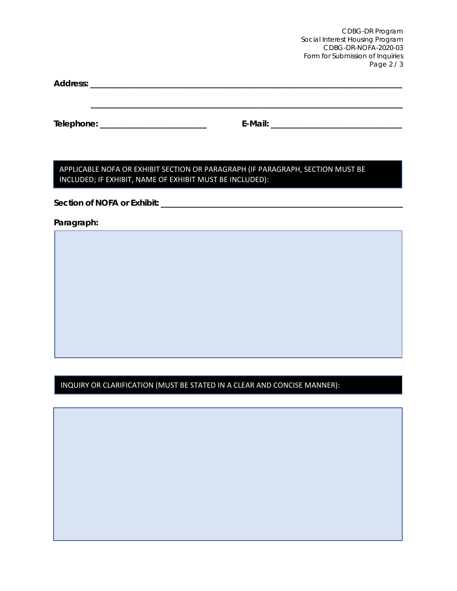CDBG-DR Program Social Interest Housing Program CDBG-DR-NOFA-2020-03 Form for Submission of Inquiries Page 2 / 3

**Address: \_\_\_\_\_\_\_\_\_\_\_\_\_\_\_\_\_\_\_\_\_\_\_\_\_\_\_\_\_\_\_\_\_\_\_\_\_\_\_\_\_\_\_\_\_\_\_\_\_\_\_\_\_\_\_\_\_\_\_\_\_\_\_\_\_\_\_\_\_\_\_\_\_\_\_\_**

**Telephone: \_\_\_\_\_\_\_\_\_\_\_\_\_\_\_\_\_\_\_\_\_\_\_\_\_\_ E-Mail: \_\_\_\_\_\_\_\_\_\_\_\_\_\_\_\_\_\_\_\_\_\_\_\_\_\_\_\_\_\_\_\_**

**\_\_\_\_\_\_\_\_\_\_\_\_\_\_\_\_\_\_\_\_\_\_\_\_\_\_\_\_\_\_\_\_\_\_\_\_\_\_\_\_\_\_\_\_\_\_\_\_\_\_\_\_\_\_\_\_\_\_\_\_\_\_\_\_\_\_\_\_\_\_\_\_\_\_\_\_**

APPLICABLE NOFA OR EXHIBIT SECTION OR PARAGRAPH (IF PARAGRAPH, SECTION MUST BE INCLUDED; IF EXHIBIT, NAME OF EXHIBIT MUST BE INCLUDED):

**Section of NOFA or Exhibit: \_\_\_\_\_\_\_\_\_\_\_\_\_\_\_\_\_\_\_\_\_\_\_\_\_\_\_\_\_\_\_\_\_\_\_\_\_\_\_\_\_\_\_\_\_\_\_\_\_\_\_\_\_\_\_\_\_\_\_**

**Paragraph:**

INQUIRY OR CLARIFICATION (MUST BE STATED IN A CLEAR AND CONCISE MANNER):